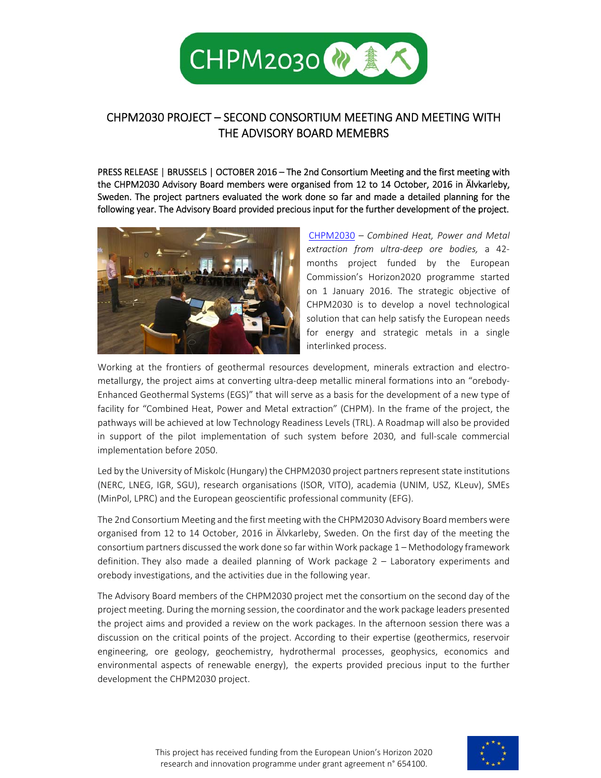

## CHPM2030 PROJECT – SECOND CONSORTIUM MEETING AND MEETING WITH THE ADVISORY BOARD MEMEBRS

PRESS RELEASE | BRUSSELS | OCTOBER 2016 – The 2nd Consortium Meeting and the first meeting with the CHPM2030 Advisory Board members were organised from 12 to 14 October, 2016 in Älvkarleby, Sweden. The project partners evaluated the work done so far and made a detailed planning for the following year. The Advisory Board provided precious input for the further development of the project.



CHPM2030 *– Combined Heat, Power and Metal extraction from ultra‐deep ore bodies,*  a 42‐ months project funded by the European Commission's Horizon2020 programme started on 1 January 2016. The strategic objective of CHPM2030 is to develop a novel technological solution that can help satisfy the European needs for energy and strategic metals in a single interlinked process.

Working at the frontiers of geothermal resources development, minerals extraction and electrometallurgy, the project aims at converting ultra-deep metallic mineral formations into an "orebody-Enhanced Geothermal Systems (EGS)" that will serve as a basis for the development of a new type of facility for "Combined Heat, Power and Metal extraction" (CHPM). In the frame of the project, the pathways will be achieved at low Technology Readiness Levels (TRL). A Roadmap will also be provided in support of the pilot implementation of such system before 2030, and full-scale commercial implementation before 2050.

Led by the University of Miskolc (Hungary) the CHPM2030 project partners represent state institutions (NERC, LNEG, IGR, SGU), research organisations (ISOR, VITO), academia (UNIM, USZ, KLeuv), SMEs (MinPol, LPRC) and the European geoscientific professional community (EFG).

The 2nd Consortium Meeting and the first meeting with the CHPM2030 Advisory Board members were organised from 12 to 14 October, 2016 in Älvkarleby, Sweden. On the first day of the meeting the consortium partners discussed the work done so far within Work package 1 – Methodology framework definition. They also made a deailed planning of Work package 2 - Laboratory experiments and orebody investigations, and the activities due in the following year.

The Advisory Board members of the CHPM2030 project met the consortium on the second day of the project meeting. During the morning session, the coordinator and the work package leaders presented the project aims and provided a review on the work packages. In the afternoon session there was a discussion on the critical points of the project. According to their expertise (geothermics, reservoir engineering, ore geology, geochemistry, hydrothermal processes, geophysics, economics and environmental aspects of renewable energy), the experts provided precious input to the further development the CHPM2030 project.